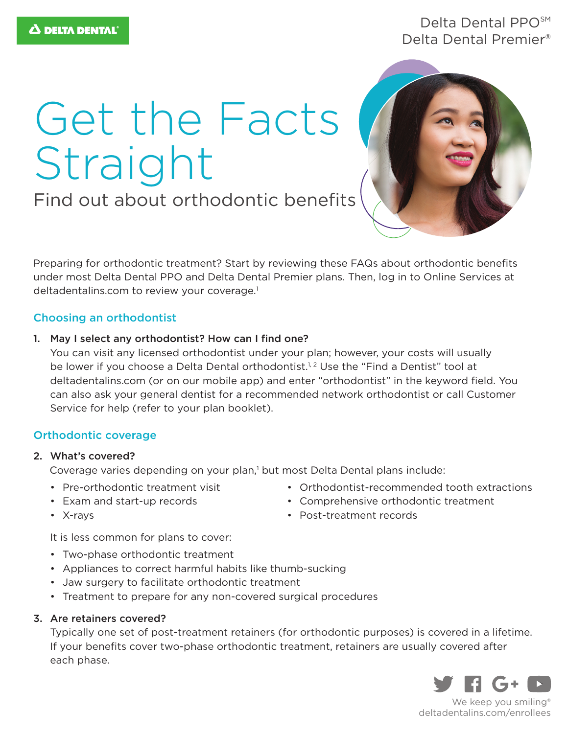# Delta Dental PPO<sup>SM</sup> Delta Dental Premier®

# Get the Facts Straight

Find out about orthodontic benefits



Preparing for orthodontic treatment? Start by reviewing these FAQs about orthodontic benefits under most Delta Dental PPO and Delta Dental Premier plans. Then, log in to Online Services at deltadentalins.com to review your coverage.<sup>1</sup>

## Choosing an orthodontist

1. May I select any orthodontist? How can I find one?

You can visit any licensed orthodontist under your plan; however, your costs will usually be lower if you choose a Delta Dental orthodontist.<sup>1,2</sup> Use the "Find a Dentist" tool at deltadentalins.com (or on our mobile app) and enter "orthodontist" in the keyword field. You can also ask your general dentist for a recommended network orthodontist or call Customer Service for help (refer to your plan booklet).

## Orthodontic coverage

#### 2. What's covered?

Coverage varies depending on your plan,<sup>1</sup> but most Delta Dental plans include:

- Pre-orthodontic treatment visit
- Exam and start-up records
- Orthodontist-recommended tooth extractions
- Comprehensive orthodontic treatment
- Post-treatment records

• X-rays

It is less common for plans to cover:

- Two-phase orthodontic treatment
- Appliances to correct harmful habits like thumb-sucking
- Jaw surgery to facilitate orthodontic treatment
- Treatment to prepare for any non-covered surgical procedures

#### 3. Are retainers covered?

Typically one set of post-treatment retainers (for orthodontic purposes) is covered in a lifetime. If your benefits cover two-phase orthodontic treatment, retainers are usually covered after each phase.